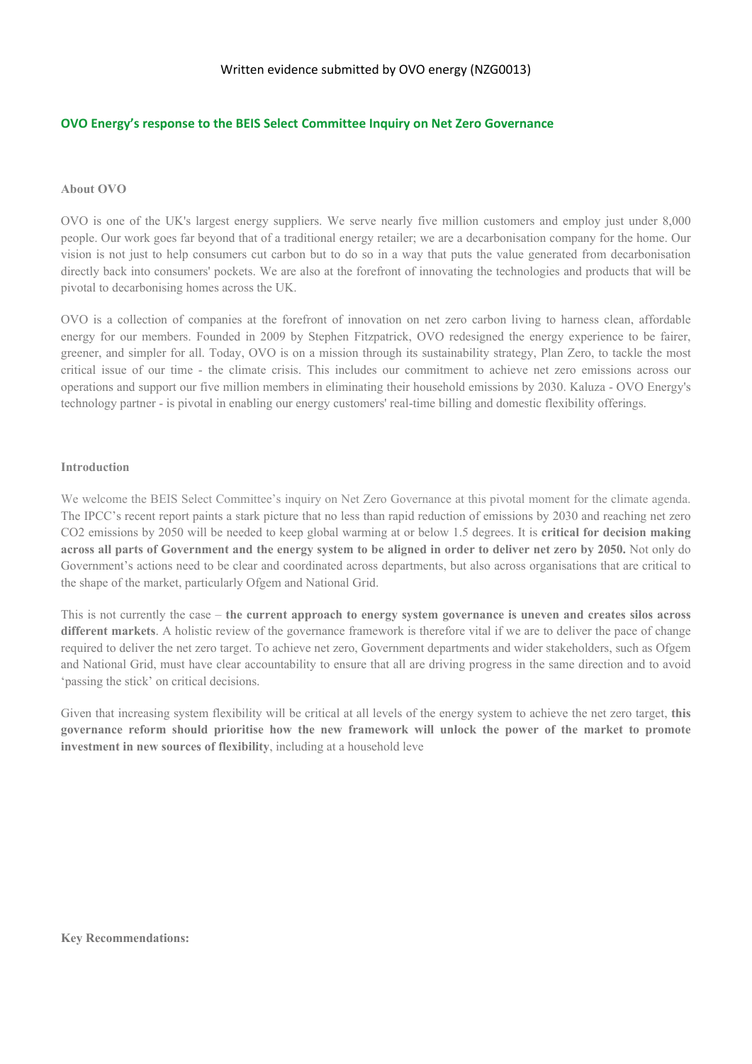# **OVO Energy's response to the BEIS Select Committee Inquiry on Net Zero Governance**

## **About OVO**

OVO is one of the UK's largest energy suppliers. We serve nearly five million customers and employ just under 8,000 people. Our work goes far beyond that of a traditional energy retailer; we are a decarbonisation company for the home. Our vision is not just to help consumers cut carbon but to do so in a way that puts the value generated from decarbonisation directly back into consumers' pockets. We are also at the forefront of innovating the technologies and products that will be pivotal to decarbonising homes across the UK.

OVO is a collection of companies at the forefront of innovation on net zero carbon living to harness clean, affordable energy for our members. Founded in 2009 by Stephen Fitzpatrick, OVO redesigned the energy experience to be fairer, greener, and simpler for all. Today, OVO is on a mission through its sustainability strategy, Plan Zero, to tackle the most critical issue of our time - the climate crisis. This includes our commitment to achieve net zero emissions across our operations and support our five million members in eliminating their household emissions by 2030. Kaluza - OVO Energy's technology partner - is pivotal in enabling our energy customers' real-time billing and domestic flexibility offerings.

## **Introduction**

We welcome the BEIS Select Committee's inquiry on Net Zero Governance at this pivotal moment for the climate agenda. The IPCC's recent report paints a stark picture that no less than rapid reduction of emissions by 2030 and reaching net zero CO2 emissions by 2050 will be needed to keep global warming at or below 1.5 degrees. It is **critical for decision making** across all parts of Government and the energy system to be aligned in order to deliver net zero by 2050. Not only do Government's actions need to be clear and coordinated across departments, but also across organisations that are critical to the shape of the market, particularly Ofgem and National Grid.

This is not currently the case – **the current approach to energy system governance is uneven and creates silos across different markets**. A holistic review of the governance framework is therefore vital if we are to deliver the pace of change required to deliver the net zero target. To achieve net zero, Government departments and wider stakeholders, such as Ofgem and National Grid, must have clear accountability to ensure that all are driving progress in the same direction and to avoid 'passing the stick' on critical decisions.

Given that increasing system flexibility will be critical at all levels of the energy system to achieve the net zero target, **this governance reform should prioritise how the new framework will unlock the power of the market to promote investment in new sources of flexibility**, including at a household leve

**Key Recommendations:**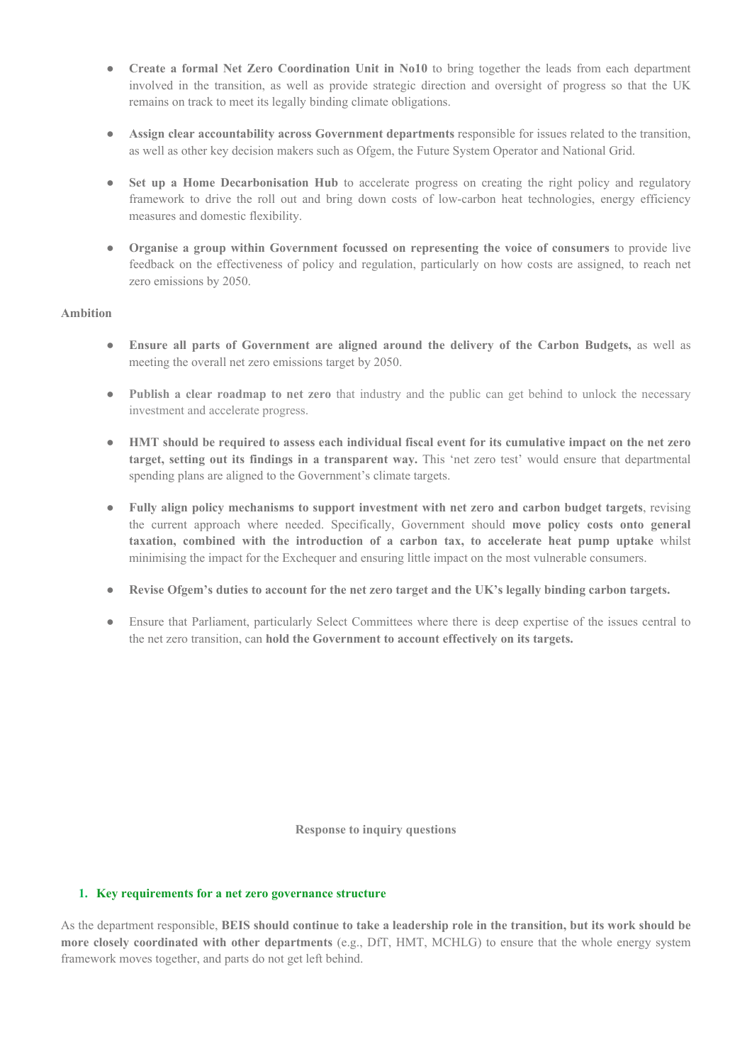- **Create a formal Net Zero Coordination Unit in No10** to bring together the leads from each department involved in the transition, as well as provide strategic direction and oversight of progress so that the UK remains on track to meet its legally binding climate obligations.
- **Assign clear accountability across Government departments** responsible for issues related to the transition, as well as other key decision makers such as Ofgem, the Future System Operator and National Grid.
- **Set up a Home Decarbonisation Hub** to accelerate progress on creating the right policy and regulatory framework to drive the roll out and bring down costs of low-carbon heat technologies, energy efficiency measures and domestic flexibility.
- **Organise a group within Government focussed on representing the voice of consumers** to provide live feedback on the effectiveness of policy and regulation, particularly on how costs are assigned, to reach net zero emissions by 2050.

## **Ambition**

- **Ensure all parts of Government are aligned around the delivery of the Carbon Budgets,** as well as meeting the overall net zero emissions target by 2050.
- **Publish a clear roadmap to net zero** that industry and the public can get behind to unlock the necessary investment and accelerate progress.
- HMT should be required to assess each individual fiscal event for its cumulative impact on the net zero **target, setting out its findings in a transparent way.** This 'net zero test' would ensure that departmental spending plans are aligned to the Government's climate targets.
- **Fully align policy mechanisms to support investment with net zero and carbon budget targets**, revising the current approach where needed. Specifically, Government should **move policy costs onto general taxation, combined with the introduction of a carbon tax, to accelerate heat pump uptake** whilst minimising the impact for the Exchequer and ensuring little impact on the most vulnerable consumers.
- **Revise Ofgem's duties to account for the net zero target and the UK's legally binding carbon targets.**
- Ensure that Parliament, particularly Select Committees where there is deep expertise of the issues central to the net zero transition, can **hold the Government to account effectively on its targets.**

**Response to inquiry questions**

## **1. Key requirements for a net zero governance structure**

As the department responsible, BEIS should continue to take a leadership role in the transition, but its work should be **more closely coordinated with other departments** (e.g., DfT, HMT, MCHLG) to ensure that the whole energy system framework moves together, and parts do not get left behind.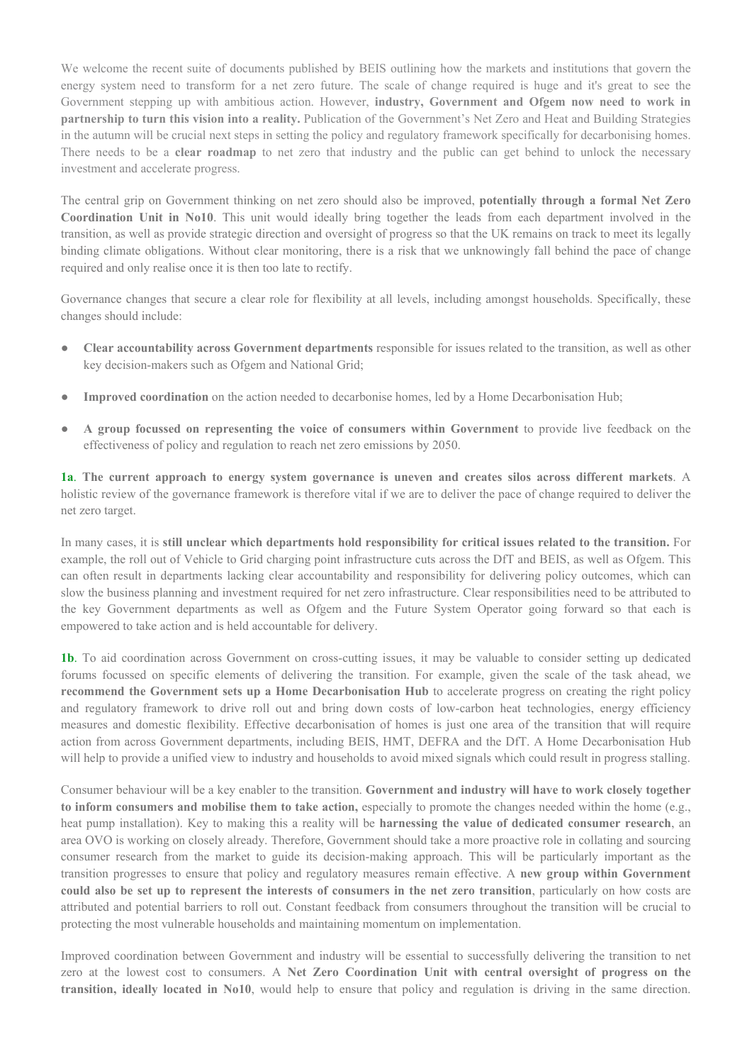We welcome the recent suite of documents published by BEIS outlining how the markets and institutions that govern the energy system need to transform for a net zero future. The scale of change required is huge and it's great to see the Government stepping up with ambitious action. However, **industry, Government and Ofgem now need to work in partnership to turn this vision into a reality.** Publication of the Government's Net Zero and Heat and Building Strategies in the autumn will be crucial next steps in setting the policy and regulatory framework specifically for decarbonising homes. There needs to be a **clear roadmap** to net zero that industry and the public can get behind to unlock the necessary investment and accelerate progress.

The central grip on Government thinking on net zero should also be improved, **potentially through a formal Net Zero Coordination Unit in No10**. This unit would ideally bring together the leads from each department involved in the transition, as well as provide strategic direction and oversight of progress so that the UK remains on track to meet its legally binding climate obligations. Without clear monitoring, there is a risk that we unknowingly fall behind the pace of change required and only realise once it is then too late to rectify.

Governance changes that secure a clear role for flexibility at all levels, including amongst households. Specifically, these changes should include:

- **Clear accountability across Government departments** responsible for issues related to the transition, as well as other key decision-makers such as Ofgem and National Grid;
- **Improved coordination** on the action needed to decarbonise homes, led by a Home Decarbonisation Hub;
- **A group focussed on representing the voice of consumers within Government** to provide live feedback on the effectiveness of policy and regulation to reach net zero emissions by 2050.

**1a**. **The current approach to energy system governance is uneven and creates silos across different markets**. A holistic review of the governance framework is therefore vital if we are to deliver the pace of change required to deliver the net zero target.

In many cases, it is **still unclear which departments hold responsibility for critical issues related to the transition.** For example, the roll out of Vehicle to Grid charging point infrastructure cuts across the DfT and BEIS, as well as Ofgem. This can often result in departments lacking clear accountability and responsibility for delivering policy outcomes, which can slow the business planning and investment required for net zero infrastructure. Clear responsibilities need to be attributed to the key Government departments as well as Ofgem and the Future System Operator going forward so that each is empowered to take action and is held accountable for delivery.

**1b**. To aid coordination across Government on cross-cutting issues, it may be valuable to consider setting up dedicated forums focussed on specific elements of delivering the transition. For example, given the scale of the task ahead, we **recommend the Government sets up a Home Decarbonisation Hub** to accelerate progress on creating the right policy and regulatory framework to drive roll out and bring down costs of low-carbon heat technologies, energy efficiency measures and domestic flexibility. Effective decarbonisation of homes is just one area of the transition that will require action from across Government departments, including BEIS, HMT, DEFRA and the DfT. A Home Decarbonisation Hub will help to provide a unified view to industry and households to avoid mixed signals which could result in progress stalling.

Consumer behaviour will be a key enabler to the transition. **Government and industry will have to work closely together to inform consumers and mobilise them to take action,** especially to promote the changes needed within the home (e.g., heat pump installation). Key to making this a reality will be **harnessing the value of dedicated consumer research**, an area OVO is working on closely already. Therefore, Government should take a more proactive role in collating and sourcing consumer research from the market to guide its decision-making approach. This will be particularly important as the transition progresses to ensure that policy and regulatory measures remain effective. A **new group within Government** could also be set up to represent the interests of consumers in the net zero transition, particularly on how costs are attributed and potential barriers to roll out. Constant feedback from consumers throughout the transition will be crucial to protecting the most vulnerable households and maintaining momentum on implementation.

Improved coordination between Government and industry will be essential to successfully delivering the transition to net zero at the lowest cost to consumers. A **Net Zero Coordination Unit with central oversight of progress on the transition, ideally located in No10**, would help to ensure that policy and regulation is driving in the same direction.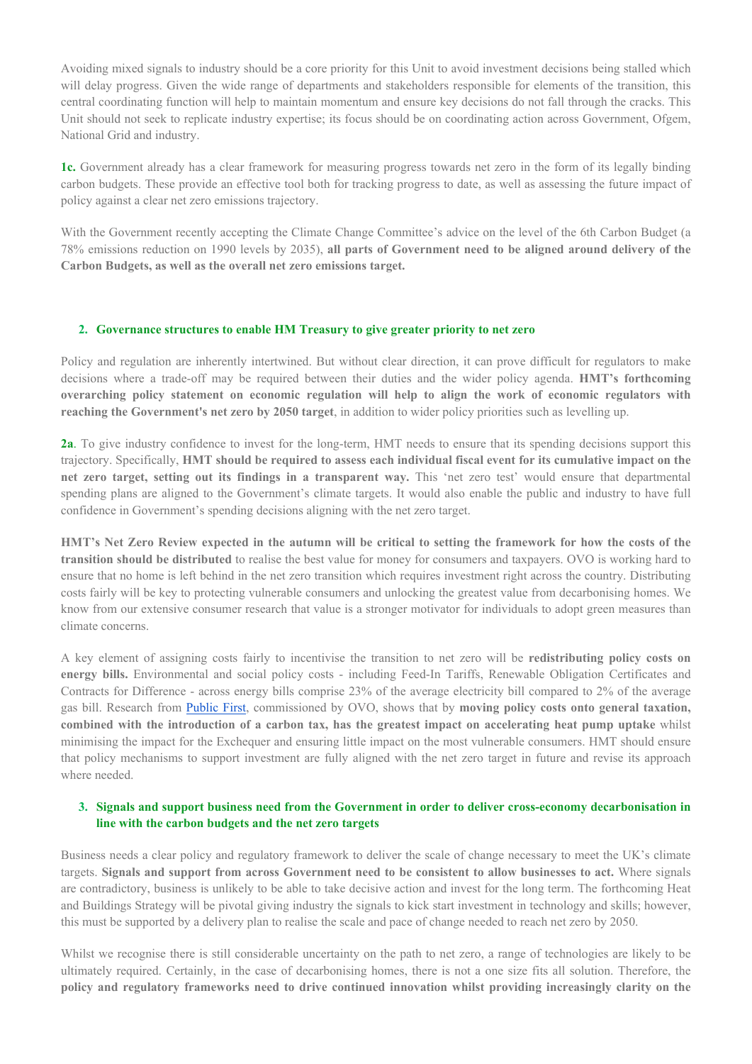Avoiding mixed signals to industry should be a core priority for this Unit to avoid investment decisions being stalled which will delay progress. Given the wide range of departments and stakeholders responsible for elements of the transition, this central coordinating function will help to maintain momentum and ensure key decisions do not fall through the cracks. This Unit should not seek to replicate industry expertise; its focus should be on coordinating action across Government, Ofgem, National Grid and industry.

**1c.** Government already has a clear framework for measuring progress towards net zero in the form of its legally binding carbon budgets. These provide an effective tool both for tracking progress to date, as well as assessing the future impact of policy against a clear net zero emissions trajectory.

With the Government recently accepting the Climate Change Committee's advice on the level of the 6th Carbon Budget (a 78% emissions reduction on 1990 levels by 2035), **all parts of Government need to be aligned around delivery of the Carbon Budgets, as well as the overall net zero emissions target.**

# **2. Governance structures to enable HM Treasury to give greater priority to net zero**

Policy and regulation are inherently intertwined. But without clear direction, it can prove difficult for regulators to make decisions where a trade-off may be required between their duties and the wider policy agenda. **HMT's forthcoming overarching policy statement on economic regulation will help to align the work of economic regulators with reaching the Government's net zero by 2050 target**, in addition to wider policy priorities such as levelling up.

**2a**. To give industry confidence to invest for the long-term, HMT needs to ensure that its spending decisions support this trajectory. Specifically, HMT should be required to assess each individual fiscal event for its cumulative impact on the **net zero target, setting out its findings in a transparent way.** This 'net zero test' would ensure that departmental spending plans are aligned to the Government's climate targets. It would also enable the public and industry to have full confidence in Government's spending decisions aligning with the net zero target.

HMT's Net Zero Review expected in the autumn will be critical to setting the framework for how the costs of the **transition should be distributed** to realise the best value for money for consumers and taxpayers. OVO is working hard to ensure that no home is left behind in the net zero transition which requires investment right across the country. Distributing costs fairly will be key to protecting vulnerable consumers and unlocking the greatest value from decarbonising homes. We know from our extensive consumer research that value is a stronger motivator for individuals to adopt green measures than climate concerns.

A key element of assigning costs fairly to incentivise the transition to net zero will be **redistributing policy costs on energy bills.** Environmental and social policy costs - including Feed-In Tariffs, Renewable Obligation Certificates and Contracts for Difference - across energy bills comprise 23% of the average electricity bill compared to 2% of the average gas bill. Research from [Public](http://www.publicfirst.co.uk/wp-content/uploads/2021/04/OptionsEnergyBillMaster.pdf) [First,](http://www.publicfirst.co.uk/wp-content/uploads/2021/04/OptionsEnergyBillMaster.pdf) commissioned by OVO, shows that by **moving policy costs onto general taxation,** combined with the introduction of a carbon tax, has the greatest impact on accelerating heat pump uptake whilst minimising the impact for the Exchequer and ensuring little impact on the most vulnerable consumers. HMT should ensure that policy mechanisms to support investment are fully aligned with the net zero target in future and revise its approach where needed.

# **3. Signals and support business need from the Government in order to deliver cross-economy decarbonisation in line with the carbon budgets and the net zero targets**

Business needs a clear policy and regulatory framework to deliver the scale of change necessary to meet the UK's climate targets. **Signals and support from across Government need to be consistent to allow businesses to act.** Where signals are contradictory, business is unlikely to be able to take decisive action and invest for the long term. The forthcoming Heat and Buildings Strategy will be pivotal giving industry the signals to kick start investment in technology and skills; however, this must be supported by a delivery plan to realise the scale and pace of change needed to reach net zero by 2050.

Whilst we recognise there is still considerable uncertainty on the path to net zero, a range of technologies are likely to be ultimately required. Certainly, in the case of decarbonising homes, there is not a one size fits all solution. Therefore, the **policy and regulatory frameworks need to drive continued innovation whilst providing increasingly clarity on the**